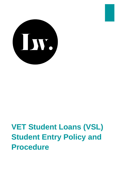

# **VET Student Loans (VSL) Student Entry Policy and Procedure**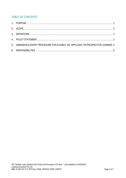# **TABLE OF CONTENTS**

| 5. ADMISSION & ENTRY PROCEDURE FOR ELIGIBLE VSL APPLICANT OR PROSPECTIVE LEARNER. 4 |  |
|-------------------------------------------------------------------------------------|--|
|                                                                                     |  |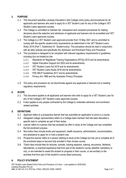# <span id="page-2-0"></span>**1. PURPOSE**

- 1.1 This document specifies Laneway Education's (the College) entry policy and procedures for all applicants and learners who wish to apply for a VET Student Loan for any of the College's VET Student Loans approved courses.
- 1.2 The College is committed to maintain fair, transparent and compliant procedures for making decisions about the selection and admission of applicants and learners into its accredited and VET Student Loans approved courses.
- 1.3 The College is a VET Student Loan approved provider from 15 May 2021 and is committed to comply with the specific student entry requirements as determined in the *VET Student Loans Rules 2016 (Part 7, Subdivision B - Student entry)*. This procedure should be read in conjunction with all other policies and specifically the *Admission and Enrolment Policy and Procedure*.
- 1.4 This procedure is designed to be compliant with relevant regulatory requirements or guidelines including (but not limited to) the:
	- 1.4.1 Standards for Registered Training Organisations (RTOs) 2015 and its amendments;
	- 1.4.2 Higher Education Support Act 2003 and its amendments;
	- 1.4.3 VET Student Loans Act 2016 and its amendments;
	- 1.4.4 VET Student Loans Rules 2016 and its amendments;
	- 1.4.5 FEE-HELP Guidelines 2017 and its amendments;
	- 1.4.6 Privacy Act 1988 and the Australian Privacy Principles.
- 1.5 The policy and procedure do not discriminate against any applicants or learners but is meeting regulatory requirements.

# <span id="page-2-1"></span>**2. SCOPE**

- 2.1 This document applies to all applicants and learners who wish to apply for a VET Student Loan for any of the College's VET Student Loans approved courses.
- 2.2 It also applies to any people contracted by the College to undertake admission and enrolment related activities.

#### <span id="page-2-2"></span>**3. DEFINITIONS**

- 3.1 *Applicant* refers to a prospective learner that has submitted an application to enrol in a course.
- 3.2 *Delegated college representative* refers to a College team member that has been allocated a specific task to complete as part of their duties.
- 3.3 *Learner* refers to a person that has accepted an offer to study at the College and has completed the full enrolment process.
- 3.4 *Non-tuition fees* include books and equipment, health insurance, administration, accommodation, and assistance to apply for or hold a student visa.
- 3.5 *Prospective learner* refers to a person wishing to study at the College but has yet to complete all of the enrolment steps to become fully enrolled in their chosen course.
- 3.6 *Tuition fees* include fees for lectures, tutorials, tutoring sessions, training, excursions, fieldwork, laboratories, or practical experience that form part of the student's course (whether mandatory or not), or are intended to assist the student to progress in their course, or are ancillary to the activities that form part of the student's course listed previously.

# <span id="page-2-3"></span>**4. POLICY STATEMENT**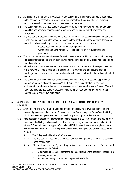- 4.1 Admission and enrolment to the College for any applicants or prospective learners is determined on the basis of the respective published entry requirements of the course of study, including previous academic achievements and previous work experience.
- 4.2 The College is treating all applicants or prospective learners, who seek enrolment into one of its accredited and approved courses, equally and fairly and will ensure that all processes are transparent.
- 4.3 Any applicants or prospective learners who seek enrolment will be assessed against the same set of entry requirements using the same processes as they apply and as they may differ from each course the College is offering. These processes and entry requirements may be;
	- a) Course specific entry requirements and processes
	- b) Commonwealth Government HELP loan specific entry requirements and processes
- 4.4 The course specific entry requirements for each course are detailed in the corresponding training and assessment strategies and on each course information page on the College website and other marketing collateral.
- 4.5 All applicants or prospective learners must meet the entry requirements for the respective course. In this way, the College is satisfied that applicants for a course have an adequate basis of knowledge and skills as well as academically suitable to successfully undertake and complete that course.
- 4.6 The College may only have limited places available in each intake for successful applicants or prospective learners who wish to access VET Student Loans to pay for their tuition fees. Application for admission and entry will be assessed on a "first come first served" basis. Where all places are filled, the applicants or prospective learners may need to defer their enrolment and commencement at next available intake.

# <span id="page-3-0"></span>**5. ADMISSION & ENTRY PROCEDURE FOR ELIGIBLE VSL APPLICANT OR PROSPECTIVE LEARNER**

- 5.1 After enrolling into a VET Student Loan approved course following the College admission and enrolment process as outlined in the *Admission and Enrolment Policy and Procedure*, the College will discuss payment options with each successful applicant or prospective learner.
- 5.2 If the applicant or prospective learner is requesting access to a VET Student Loan to pay for their tuition fees, the College will assess the applicant based on eligibility criteria under section 5.3, 5.5, 5.6 and 5.7 and will verify the applicant's available HELP balance to ensure the applicant has a HELP balance of more than \$0. If the applicant is assessed as eligible, the following steps will be initiated:
	- 5.2.1 The College will initiate the eCAF process
	- 5.2.2 The applicant will receive the eCAF notification and complete the eCAF online before or on the census date
	- 5.2.3 If the applicant is under 18 years of age before course commencement, he/she will need to provide one of the following:
		- a) a completed parental consent form to be completed by the applicant's responsible parent/guardian; or
		- b) evidence of being assessed as independent by Centrelink.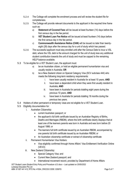- 5.2.4 The College will complete the enrolment process and will review the student file for completeness.
- 5.2.5 The College will provide relevant documents to the applicant in the required time frame such as:
	- a) **Statement of Covered Fees** will be issued at least fourteen (14) days before the first census day in the fee period.
	- b) **VET Student Loan Fee Notice** will be issued at least fourteen (14) days before the first census day in the fee period.
	- c) **Commonwealth Assistance Notice (CAN)** will be issued no later than twentyeight (28) days after the census day for a unit of study which has passed.
- 5.2.6 The successful applicant must stay enrolled until after the Census Date to incur a VSL debt, where the VSL debt is the amount charged for the unit of study less any additional student contribution towards the unit of study and must be capped to the remaining HELP balance available.
- 5.3 To be eligible for a VET Student Loan, the applicant must:
	- a) be an Australian citizen, or hold an eligible permanent humanitarian visa and usually reside in Australia; **OR**
	- b) be a New Zealand citizen on Special Category Visa (SCV subclass 444) who meets the following long-term residency requirements:
		- i. have been usually resident in Australia for at least 10 years; **AND**
		- ii. have been a dependent child when they were first usually resident in Australia; **AND**
		- iii. have been in Australia for periods totalling eight years during the previous 10 years; **AND**
		- iv. have been in Australia for periods totalling 18 months during the previous two years.
- 5.4 Holders of other permanent or temporary visas are not eligible for a VET Student Loan.
- 5.5 Eligibility documentation for:
	- i. Australian Citizenship:
		- current Australian passport; or
		- the applicant's full birth certificate issued by an Australian Registry of Births, Deaths and Marriages (RBDM), where the birth certificate clearly displays that at least one of the learners parents was born in Australia and was born before 20 August 1986; or
		- The learners full birth certificate issued by an Australian RBDM, accompanied by one parents full birth certificate issued by an Australian RBDM; or
		- An Australian citizenship certificate or extract of citizenship certificate
	- ii. Permanent Humanitarian Visa Holders:
		- Visa eligibility confirmed through Home Affairs' Visa Entitlement Verification Online (VEVO)
	- iii. New Zealand Citizenship:
		- Special Category Visa; and
		- Current New Zealand passport; and
		- International movement record, provided by Department of Home Affairs

VET Student Loans Student Entry Policy and Procedure v2.0.docx – Last updated on 25/05/2022 Laneway Education Pty Ltd ABN: 91 607 441 412, RTO No: 41504, CRICOS CODE: 03597G Page 5 of 7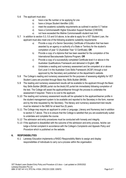#### 5.6 The applicant must also:

- a) have a tax file number or be applying for one
- b) have a Unique Student Identifier (USI)
- c) meet the academic suitability requirements as outlined in section 5.7 below
- d) have a Commonwealth Higher Education Support Number (CHESSN)
- e) not have exceeded the lifetime Commonwealth student loan limit
- 5.7 In addition to section 5.3, 5.5 and 5.6 above, to be able to apply for a VET Student Loan, the applicant must also meet one of the following academic suitability requirements:
	- a) Provide a copy of a Senior Secondary Certificate of Education that has been awarded by an agency or authority of a State or Territory for the student's completion of year 12 (Australian Year 12 Certificate); **OR**
	- b) Provide a copy of a diploma that has been awarded for the completion of the International Baccalaureate Diploma Program; **OR**
	- c) Provide a copy of a successfully completed Certificate level 4 or above in the Australian Qualifications Framework and delivered in English; **OR**
	- d) Undertake a reading and numeracy assessment and be competent at or above Exit Level 3 in the Australian Core Skills Framework (ACSF) through a tool approved by the Secretary and published on the department's website.
- 5.8 The College's reading and numeracy assessment for the purposes of assessing eligibility for VET Student Loans are provided through Basic Key Skills Builder (BKSB).
- 5.9 The reading and numeracy assessment results will be available to the applicant through the Basic Key Skills Builder (BKSB) portal via the bksbLIVE portal link immediately following completion of the test. The College will assist the applicant/learner through the process to undertake the assessment if required. There is no cost to the applicant.
- 5.10 The reading and numeracy assessment results will be uploaded to the applicant/learner profile in the student management system to be available and reported to the Secretary in the form, manner and by the time requested by the Secretary. The literacy and numeracy assessment test results must be retained in the SMS for at least five (5) years.
- 5.11 The College may require an applicant to under a Language, Literacy and Numeracy test in addition to section 5.7 above. This is to ensure that the College is satisfied that you are academically suited to undertake and complete the course.
- 5.12 The admission and entry procedures must be conducted with honesty and integrity.
- 5.13 If the applicant is dissatisfied with the outcome of the admission and entry process, he/she can lodge a formal complaint in accordance with the College's *Complaints and Appeals Policy and Procedure* which is published on the website.

#### <span id="page-5-0"></span>**6. RESPONSIBILITIES**

6.1 Laneway Education implements a RASCI Responsibility Matrix to assign and display responsibilities of individuals to carry out a process within the organisation.